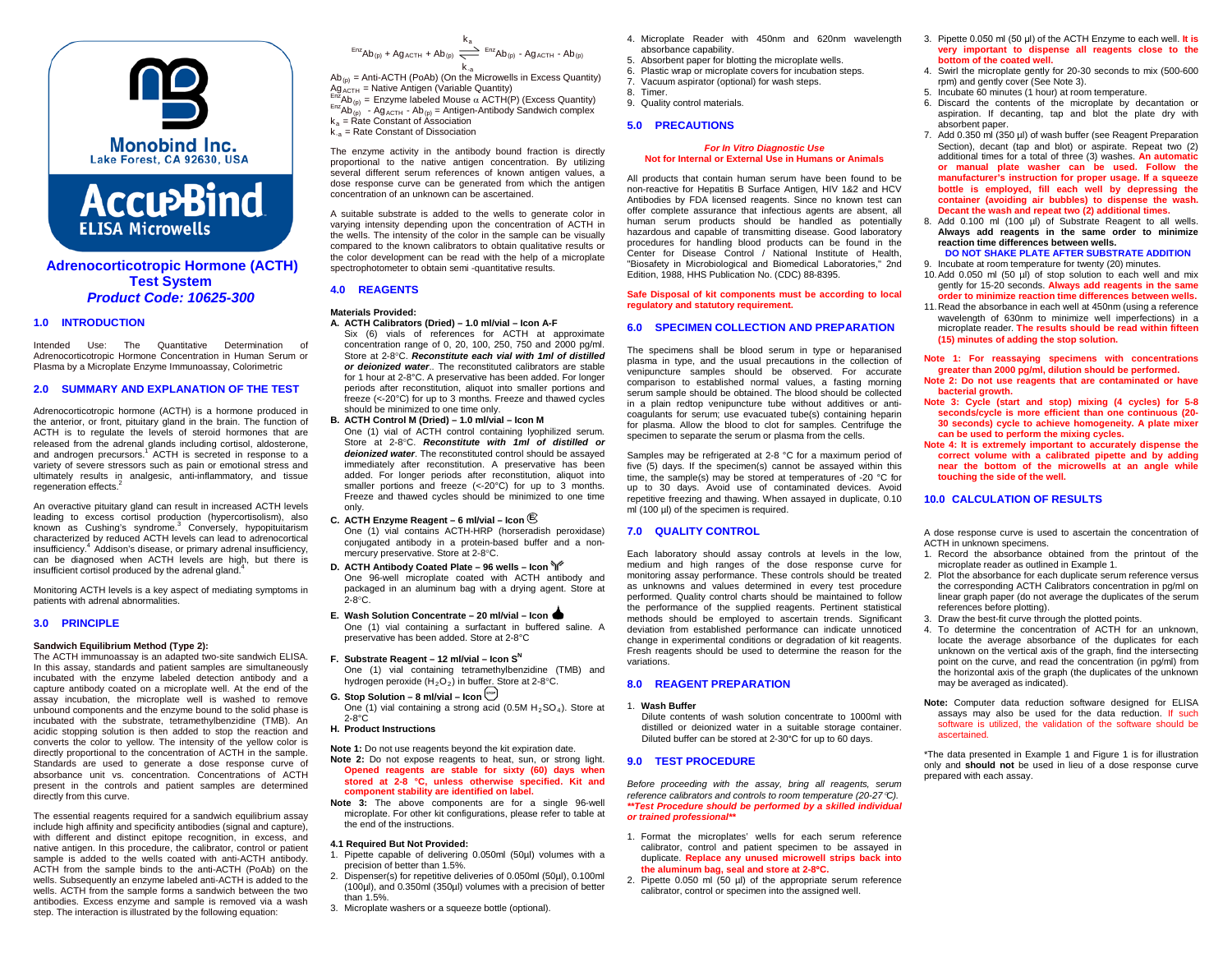



## **Adrenocorticotropic Hormone (ACTH) Test System** *Product Code: 10625-300*

## **1.0 INTRODUCTION**

Intended Use: The Quantitative Determination of Adrenocorticotropic Hormone Concentration in Human Serum or Plasma by a Microplate Enzyme Immunoassay, Colorimetric

### **2.0 SUMMARY AND EXPLANATION OF THE TEST**

Adrenocorticotropic hormone (ACTH) is a hormone produced in the anterior, or front, pituitary gland in the brain. The function of ACTH is to regulate the levels of steroid hormones that are released from the adrenal glands including cortisol, aldosterone, and androgen precursors.<sup>1</sup> ACTH is secreted in response to a variety of severe stressors such as pain or emotional stress and ultimately results in analgesic, anti-inflammatory, and tissue regeneration effects.<sup>2</sup>

An overactive pituitary gland can result in increased ACTH levels leading to excess cortisol production (hypercortisolism), also known as Cushing's syndrome.<sup>3</sup> Conversely, hypopituitarism characterized by reduced ACTH levels can lead to adrenocortical insufficiency. <sup>4</sup> Addison's disease, or primary adrenal insufficiency, can be diagnosed when ACTH levels are high, but there is insufficient cortisol produced by the adrenal gland

Monitoring ACTH levels is a key aspect of mediating symptoms in patients with adrenal abnormalities.

### **3.0 PRINCIPLE**

## **Sandwich Equilibrium Method (Type 2):**

The ACTH immunoassay is an adapted two-site sandwich ELISA. In this assay, standards and patient samples are simultaneously incubated with the enzyme labeled detection antibody and a capture antibody coated on a microplate well. At the end of the assay incubation, the microplate well is washed to remove unbound components and the enzyme bound to the solid phase is incubated with the substrate, tetramethylbenzidine (TMB). An acidic stopping solution is then added to stop the reaction and converts the color to yellow. The intensity of the yellow color is directly proportional to the concentration of ACTH in the sample. Standards are used to generate a dose response curve of absorbance unit vs. concentration. Concentrations of ACTH present in the controls and patient samples are determined directly from this curve.

The essential reagents required for a sandwich equilibrium assay include high affinity and specificity antibodies (signal and capture). with different and distinct epitope recognition, in excess, and native antigen. In this procedure, the calibrator, control or patient sample is added to the wells coated with anti-ACTH antibody. ACTH from the sample binds to the anti-ACTH (PoAb) on the wells. Subsequently an enzyme labeled anti-ACTH is added to the wells. ACTH from the sample forms a sandwich between the two antibodies. Excess enzyme and sample is removed via a wash step. The interaction is illustrated by the following equation:

## $k<sub>2</sub>$  $\text{Enc}_{\text{AB}}(p) + \text{Ag}_{\text{ACTH}} + \text{Ab}_{(p)} \rightleftharpoons \text{Enc}_{\text{AB}}(p) - \text{Ag}_{\text{ACTH}} - \text{Ab}_{(p)}$

 $k_{\cdot a}$ <br>Ab<sub>(p)</sub> = Anti-ACTH (PoAb) (On the Microwells in Excess Quantity)

Ag<sub>ACTH</sub> = Native Antigen (Variable Quantity)<br>  $F_{\text{DZ}}$ Ab<sub>(p)</sub> = Enzyme labeled Mouse α ACTH(P) (Excess Quantity)<br>  $F_{\text{DZ}}$ Ab<sub>(p)</sub> - Ag<sub>ACTH</sub> - Ab<sub>(p)</sub> = Antigen-Antibody Sandwich complex

 $k_a$  = Rate Constant of Association  $k_{a}$  = Rate Constant of Dissociation

The enzyme activity in the antibody bound fraction is directly proportional to the native antigen concentration. By utilizing several different serum references of known antigen values, a dose response curve can be generated from which the antigen concentration of an unknown can be ascertained.

A suitable substrate is added to the wells to generate color in varying intensity depending upon the concentration of ACTH in the wells. The intensity of the color in the sample can be visually compared to the known calibrators to obtain qualitative results or the color development can be read with the help of a microplate spectrophotometer to obtain semi -quantitative results.

# **4.0 REAGENTS**

- **Materials Provided: A. ACTH Calibrators (Dried) – 1.0 ml/vial – Icon A-F**
	- Six (6) vials of references for ACTH at approximate concentration range of 0, 20, 100, 250, 750 and 2000 pg/ml. Store at 2-8°C. *Reconstitute each vial with 1ml of distilled or deionized water*.. The reconstituted calibrators are stable for 1 hour at 2-8°C. A preservative has been added. For longer periods after reconstitution, aliquot into smaller portions and freeze (<-20°C) for up to 3 months. Freeze and thawed cycles should be minimized to one time only.
- **B. ACTH Control M (Dried) – 1.0 ml/vial – Icon M** One (1) vial of ACTH control containing lyophilized serum. Store at 2-8°C. *Reconstitute with 1ml of distilled or*

*deionized water*. The reconstituted control should be assayed immediately after reconstitution. A preservative has been added. For longer periods after reconstitution, aliquot into smaller portions and freeze (<-20°C) for up to 3 months. Freeze and thawed cycles should be minimized to one time only.

- **C. ACTH Enzyme Reagent – 6 ml/vial – Icon <sup>E</sup>** One (1) vial contains ACTH-HRP (horseradish peroxidase) conjugated antibody in a protein-based buffer and a nonmercury preservative. Store at 2-8°C.
- **D. ACTH Antibody Coated Plate – 96 wells – Icon** One 96-well microplate coated with ACTH antibody and packaged in an aluminum bag with a drying agent. Store at  $2-8^\circ$ C.
- **E. Wash Solution Concentrate – 20 ml/vial – Icon**  One (1) vial containing a surfactant in buffered saline. A preservative has been added. Store at 2-8°C
- **F.** Substrate Reagent 12 ml/vial Icon S<sup>N</sup> One (1) vial containing tetramethylbenzidine (TMB) and hydrogen peroxide  $(H_2O_2)$  in buffer. Store at 2-8°C.
- **G. Stop Solution 8 ml/vial Icon**  $\left(\frac{\text{src}}{\text{max}}\right)$
- One (1) vial containing a strong acid (0.5M  $H_2SO_4$ ). Store at  $2-8^\circ \overrightarrow{C}$
- **H. Product Instructions**

**Note 1:** Do not use reagents beyond the kit expiration date.

- **Note 2:** Do not expose reagents to heat, sun, or strong light. **Opened reagents are stable for sixty (60) days when stored at 2-8 °C, unless otherwise specified. Kit and component stability are identified on label.**
- **Note 3:** The above components are for a single 96-well microplate. For other kit configurations, please refer to table at the end of the instructions.

#### **4.1 Required But Not Provided:**

- 1. Pipette capable of delivering 0.050ml (50µl) volumes with a precision of better than 1.5%.
- 2. Dispenser(s) for repetitive deliveries of 0.050ml (50µl), 0.100ml (100µl), and 0.350ml (350µl) volumes with a precision of better than 1.5%.
- 3. Microplate washers or a squeeze bottle (optional).
- 4. Microplate Reader with 450nm and 620nm wavelength absorbance capability.
- 5. Absorbent paper for blotting the microplate wells.
- 6. Plastic wrap or microplate covers for incubation steps.
- 7. Vacuum aspirator (optional) for wash steps. 8. Timer.
- 9. Quality control materials.

## **5.0 PRECAUTIONS**

#### *For In Vitro Diagnostic Use* **Not for Internal or External Use in Humans or Animals**

All products that contain human serum have been found to be non-reactive for Hepatitis B Surface Antigen, HIV 1&2 and HCV Antibodies by FDA licensed reagents. Since no known test can offer complete assurance that infectious agents are absent, all human serum products should be handled as potentially hazardous and capable of transmitting disease. Good laboratory procedures for handling blood products can be found in the Center for Disease Control / National Institute of Health, "Biosafety in Microbiological and Biomedical Laboratories," 2nd Edition, 1988, HHS Publication No. (CDC) 88-8395.

#### **Safe Disposal of kit components must be according to local regulatory and statutory requirement.**

### **6.0 SPECIMEN COLLECTION AND PREPARATION**

The specimens shall be blood serum in type or heparanised plasma in type, and the usual precautions in the collection of venipuncture samples should be observed. For accurate comparison to established normal values, a fasting morning serum sample should be obtained. The blood should be collected in a plain redtop venipuncture tube without additives or anticoagulants for serum; use evacuated tube(s) containing heparin for plasma. Allow the blood to clot for samples. Centrifuge the specimen to separate the serum or plasma from the cells.

Samples may be refrigerated at 2-8 °C for a maximum period of five (5) days. If the specimen(s) cannot be assayed within this time, the sample(s) may be stored at temperatures of -20 °C for up to 30 days. Avoid use of contaminated devices. Avoid repetitive freezing and thawing. When assayed in duplicate, 0.10 ml (100 µl) of the specimen is required.

## **7.0 QUALITY CONTROL**

Each laboratory should assay controls at levels in the low, medium and high ranges of the dose response curve for monitoring assay performance. These controls should be treated as unknowns and values determined in every test procedure performed. Quality control charts should be maintained to follow the performance of the supplied reagents. Pertinent statistical methods should be employed to ascertain trends. Significant deviation from established performance can indicate unnoticed change in experimental conditions or degradation of kit reagents. Fresh reagents should be used to determine the reason for the variations.

## **8.0 REAGENT PREPARATION**

#### 1. **Wash Buffer**

Dilute contents of wash solution concentrate to 1000ml with distilled or deionized water in a suitable storage container. Diluted buffer can be stored at 2-30°C for up to 60 days.

## **9.0 TEST PROCEDURE**

*Before proceeding with the assay, bring all reagents, serum reference calibrators and controls to room temperature (20-27*°*C). \*\*Test Procedure should be performed by a skilled individual or trained professional\*\**

- 1. Format the microplates' wells for each serum reference calibrator, control and patient specimen to be assayed in duplicate. **Replace any unused microwell strips back into the aluminum bag, seal and store at 2-8**°**C.**
- 2. Pipette 0.050 ml (50 µl) of the appropriate serum reference calibrator, control or specimen into the assigned well.
- 3. Pipette 0.050 ml (50 μl) of the ACTH Enzyme to each well. **It is very important to dispense all reagents close to the bottom of the coated well.**
- 4. Swirl the microplate gently for 20-30 seconds to mix (500-600 rpm) and gently cover (See Note 3).
- 5. Incubate 60 minutes (1 hour) at room temperature.
- 6. Discard the contents of the microplate by decantation or aspiration. If decanting, tap and blot the plate dry with absorbent paper.
- 7. Add 0.350 ml (350 µl) of wash buffer (see Reagent Preparation Section), decant (tap and blot) or aspirate. Repeat two (2) additional times for a total of three (3) washes. **An automatic or manual plate washer can be used. Follow the manufacturer's instruction for proper usage. If a squeeze bottle is employed, fill each well by depressing the container (avoiding air bubbles) to dispense the wash. Decant the wash and repeat two (2) additional times.**
- 8. Add 0.100 ml (100 µl) of Substrate Reagent to all wells. **Always add reagents in the same order to minimize reaction time differences between wells. DO NOT SHAKE PLATE AFTER SUBSTRATE ADDITION**

9. Incubate at room temperature for twenty (20) minutes.

- 10.Add 0.050 ml (50 µl) of stop solution to each well and mix gently for 15-20 seconds. **Always add reagents in the same order to minimize reaction time differences between wells.**
- 11.Read the absorbance in each well at 450nm (using a reference wavelength of 630nm to minimize well imperfections) in a microplate reader. **The results should be read within fifteen (15) minutes of adding the stop solution.**
- **Note 1: For reassaying specimens with concentrations greater than 2000 pg/ml, dilution should be performed.**
- **Note 2: Do not use reagents that are contaminated or have bacterial growth.**
- **Note 3: Cycle (start and stop) mixing (4 cycles) for 5-8 seconds/cycle is more efficient than one continuous (20- 30 seconds) cycle to achieve homogeneity. A plate mixer can be used to perform the mixing cycles.**
- **Note 4: It is extremely important to accurately dispense the correct volume with a calibrated pipette and by adding near the bottom of the microwells at an angle while touching the side of the well.**

## **10.0 CALCULATION OF RESULTS**

A dose response curve is used to ascertain the concentration of ACTH in unknown specimens.

- 1. Record the absorbance obtained from the printout of the microplate reader as outlined in Example 1.
- 2. Plot the absorbance for each duplicate serum reference versus the corresponding ACTH Calibrators concentration in pg/ml on linear graph paper (do not average the duplicates of the serum references before plotting).
- 3. Draw the best-fit curve through the plotted points.
- 4. To determine the concentration of ACTH for an unknown, locate the average absorbance of the duplicates for each unknown on the vertical axis of the graph, find the intersecting point on the curve, and read the concentration (in pg/ml) from the horizontal axis of the graph (the duplicates of the unknown may be averaged as indicated).
- **Note:** Computer data reduction software designed for ELISA assays may also be used for the data reduction. If such software is utilized, the validation of the software should be ascertained.

\*The data presented in Example 1 and Figure 1 is for illustration only and **should not** be used in lieu of a dose response curve prepared with each assay.